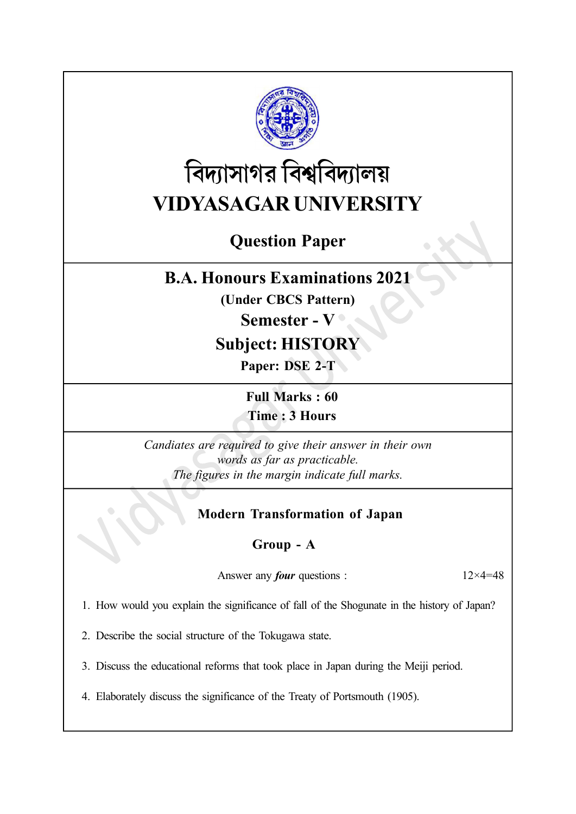

# বিদ্যাসাগর বিশ্ববিদ্যালয় VIDYASAGAR UNIVERSITY

# Question Paper

# B.A. Honours Examinations 2021

(Under CBCS Pattern)

## Semester - V

# Subject: HISTORY

Paper: DSE 2-T

Full Marks : 60 Time : 3 Hours

Candiates are required to give their answer in their own words as far as practicable. The figures in the margin indicate full marks.

## Modern Transformation of Japan

## Group - A

Answer any *four* questions :  $12 \times 4 = 48$ 

1. How would you explain the significance of fall of the Shogunate in the history of Japan?

2. Describe the social structure of the Tokugawa state.

3. Discuss the educational reforms that took place in Japan during the Meiji period.

4. Elaborately discuss the significance of the Treaty of Portsmouth (1905).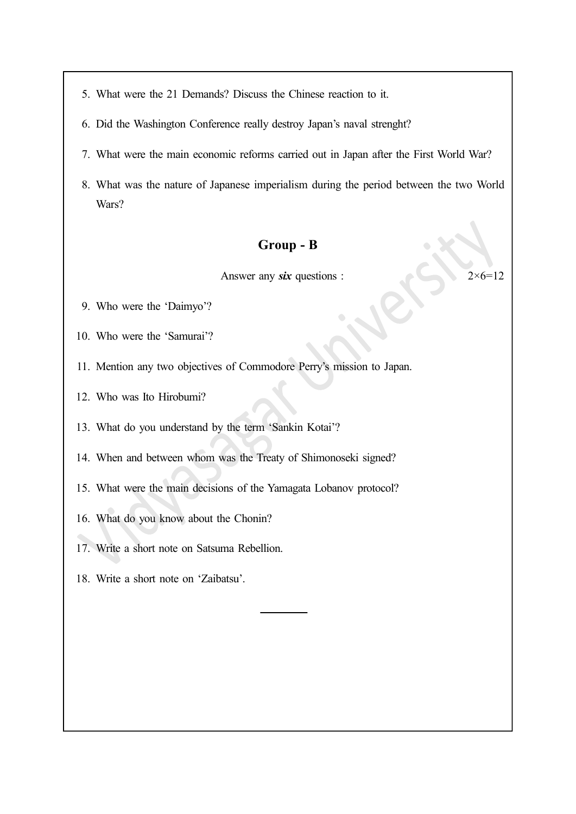5. What were the 21 Demands? Discuss the Chinese reaction to it.

- 6. Did the Washington Conference really destroy Japan's naval strenght?
- 7. What were the main economic reforms carried out in Japan after the First World War?
- 8. What was the nature of Japanese imperialism during the period between the two World Wars?

#### Group - B

Answer any six questions :  $2 \times 6 = 12$ 

- 9. Who were the 'Daimyo'?
- 10. Who were the 'Samurai'?
- 11. Mention any two objectives of Commodore Perry's mission to Japan.
- 12. Who was Ito Hirobumi?

13. What do you understand by the term 'Sankin Kotai'?

- 14. When and between whom was the Treaty of Shimonoseki signed?
- 15. What were the main decisions of the Yamagata Lobanov protocol?
- 16. What do you know about the Chonin?
- 17. Write a short note on Satsuma Rebellion.
- 18. Write a short note on 'Zaibatsu'.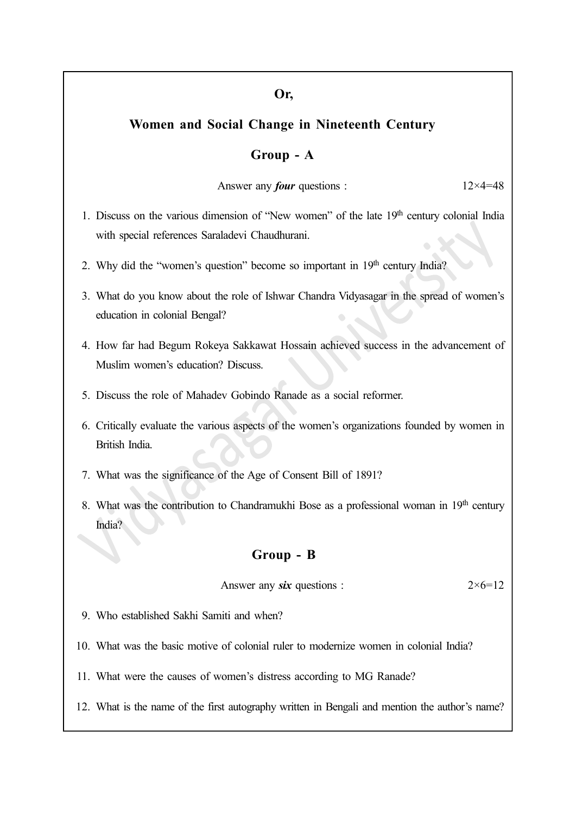#### Or,

### Women and Social Change in Nineteenth Century

#### Group - A

Answer any *four* questions :  $12 \times 4 = 48$ 

- 1. Discuss on the various dimension of "New women" of the late  $19<sup>th</sup>$  century colonial India with special references Saraladevi Chaudhurani.
- 2. Why did the "women's question" become so important in 19<sup>th</sup> century India?
- 3. What do you know about the role of Ishwar Chandra Vidyasagar in the spread of women's education in colonial Bengal?
- 4. How far had Begum Rokeya Sakkawat Hossain achieved success in the advancement of Muslim women's education? Discuss.
- 5. Discuss the role of Mahadev Gobindo Ranade as a social reformer.
- 6. Critically evaluate the various aspects of the women's organizations founded by women in British India.
- 7. What was the significance of the Age of Consent Bill of 1891?
- 8. What was the contribution to Chandramukhi Bose as a professional woman in 19th century India?

#### Group - B

Answer any six questions :  $2 \times 6 = 12$ 

- 9. Who established Sakhi Samiti and when?
- 10. What was the basic motive of colonial ruler to modernize women in colonial India?
- 11. What were the causes of women's distress according to MG Ranade?
- 12. What is the name of the first autography written in Bengali and mention the author's name?